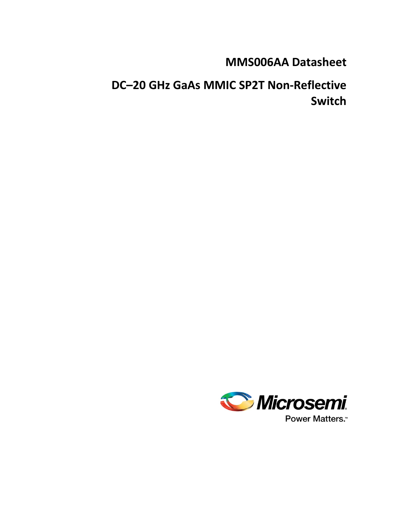# **MMS006AA Datasheet**

# **DC–20 GHz GaAs MMIC SP2T Non-Reflective Switch**

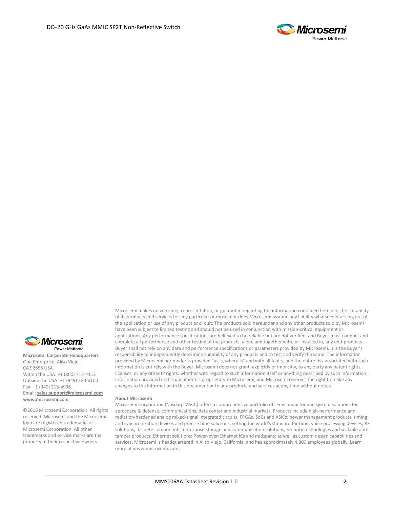



**Microsemi Corporate Headquarters** One Enterprise, Aliso Viejo, CA 92656 USA Within the USA: +1 (800) 713-4113 Outside the USA: +1 (949) 380-6100 Fax: +1 (949) 215-4996 Email: **[sales.support@microsemi.com](mailto:sales.support@microsemi.com) [www.microsemi.com](http://www.microsemi.com/)**

©2016 Microsemi Corporation. All rights reserved. Microsemi and the Microsemi logo are registered trademarks of Microsemi Corporation. All other trademarks and service marks are the property of their respective owners.

Microsemi makes no warranty, representation, or guarantee regarding the information contained herein or the suitability of its products and services for any particular purpose, nor does Microsemi assume any liability whatsoever arising out of the application or use of any product or circuit. The products sold hereunder and any other products sold by Microsemi have been subject to limited testing and should not be used in conjunction with mission-critical equipment or applications. Any performance specifications are believed to be reliable but are not verified, and Buyer must conduct and complete all performance and other testing of the products, alone and together with, or installed in, any end-products. Buyer shall not rely on any data and performance specifications or parameters provided by Microsemi. It is the Buyer's responsibility to independently determine suitability of any products and to test and verify the same. The information provided by Microsemi hereunder is provided "as is, where is" and with all faults, and the entire risk associated with such information is entirely with the Buyer. Microsemi does not grant, explicitly or implicitly, to any party any patent rights, licenses, or any other IP rights, whether with regard to such information itself or anything described by such information. Information provided in this document is proprietary to Microsemi, and Microsemi reserves the right to make any changes to the information in this document or to any products and services at any time without notice.

#### **About Microsemi**

Microsemi Corporation (Nasdaq: MSCC) offers a comprehensive portfolio of semiconductor and system solutions for aerospace & defense, communications, data center and industrial markets. Products include high-performance and radiation-hardened analog mixed-signal integrated circuits, FPGAs, SoCs and ASICs; power management products; timing and synchronization devices and precise time solutions, setting the world's standard for time; voice processing devices; RF solutions; discrete components; enterprise storage and communication solutions; security technologies and scalable antitamper products; Ethernet solutions; Power-over-Ethernet ICs and midspans; as well as custom design capabilities and services. Microsemi is headquartered in Aliso Viejo, California, and has approximately 4,800 employees globally. Learn more at **[www.microsemi.com.](http://www.microsemi.com/)**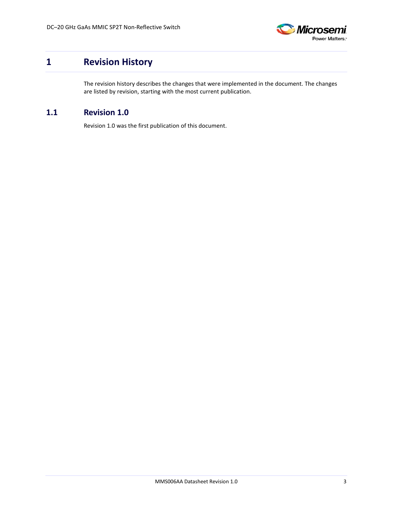

## <span id="page-2-0"></span>**1 Revision History**

The revision history describes the changes that were implemented in the document. The changes are listed by revision, starting with the most current publication.

#### <span id="page-2-1"></span>**1.1 Revision 1.0**

Revision 1.0 was the first publication of this document.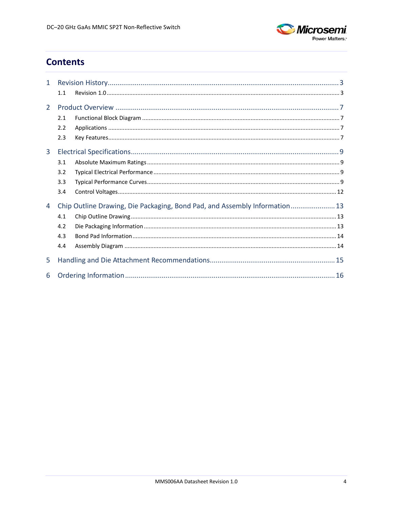

## **Contents**

| 1              |     |                                                                            |  |  |
|----------------|-----|----------------------------------------------------------------------------|--|--|
|                | 1.1 |                                                                            |  |  |
| $\overline{2}$ |     |                                                                            |  |  |
|                | 2.1 |                                                                            |  |  |
|                | 2.2 |                                                                            |  |  |
|                | 2.3 |                                                                            |  |  |
| 3              |     |                                                                            |  |  |
|                | 3.1 |                                                                            |  |  |
|                | 3.2 |                                                                            |  |  |
|                | 3.3 |                                                                            |  |  |
|                | 3.4 |                                                                            |  |  |
| 4              |     | Chip Outline Drawing, Die Packaging, Bond Pad, and Assembly Information 13 |  |  |
|                | 4.1 |                                                                            |  |  |
|                | 4.2 |                                                                            |  |  |
|                | 4.3 |                                                                            |  |  |
|                | 4.4 |                                                                            |  |  |
| 5              |     |                                                                            |  |  |
| 6              |     |                                                                            |  |  |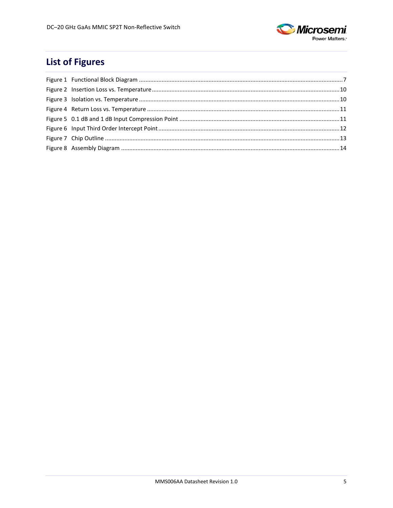

## **List of Figures**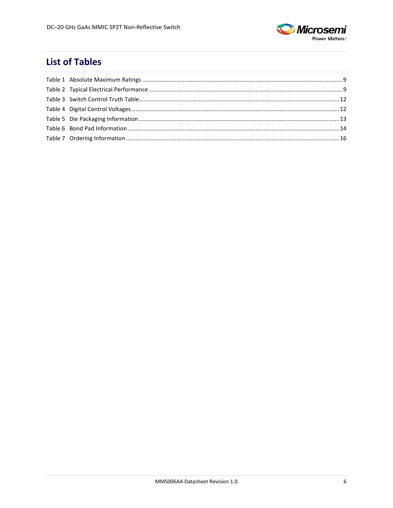

## **List of Tables**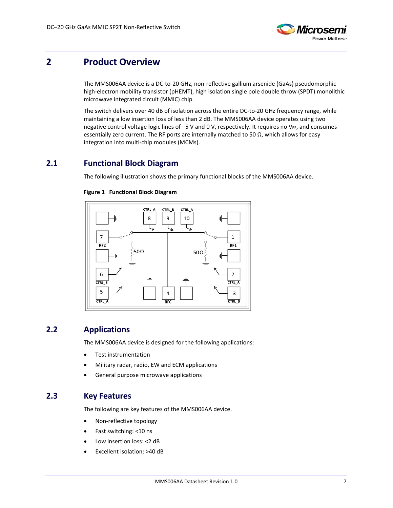

### <span id="page-6-0"></span>**2 Product Overview**

The MMS006AA device is a DC-to-20 GHz, non-reflective gallium arsenide (GaAs) pseudomorphic high-electron mobility transistor (pHEMT), high isolation single pole double throw (SPDT) monolithic microwave integrated circuit (MMIC) chip.

The switch delivers over 40 dB of isolation across the entire DC-to-20 GHz frequency range, while maintaining a low insertion loss of less than 2 dB. The MMS006AA device operates using two negative control voltage logic lines of  $-5$  V and 0 V, respectively. It requires no V<sub>EE</sub>, and consumes essentially zero current. The RF ports are internally matched to 50  $\Omega$ , which allows for easy integration into multi-chip modules (MCMs).

#### <span id="page-6-4"></span><span id="page-6-1"></span>**2.1 Functional Block Diagram**

The following illustration shows the primary functional blocks of the MMS006AA device.



#### **Figure 1 Functional Block Diagram**

### <span id="page-6-2"></span>**2.2 Applications**

The MMS006AA device is designed for the following applications:

- Test instrumentation
- Military radar, radio, EW and ECM applications
- General purpose microwave applications

#### <span id="page-6-3"></span>**2.3 Key Features**

The following are key features of the MMS006AA device.

- Non-reflective topology
- Fast switching: <10 ns
- Low insertion loss: < 2 dB
- Excellent isolation: >40 dB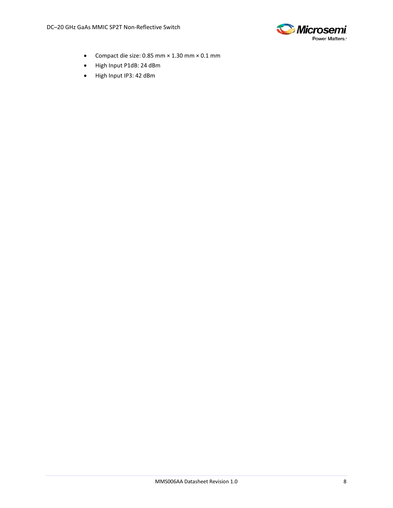

- Compact die size: 0.85 mm × 1.30 mm × 0.1 mm
- High Input P1dB: 24 dBm
- High Input IP3: 42 dBm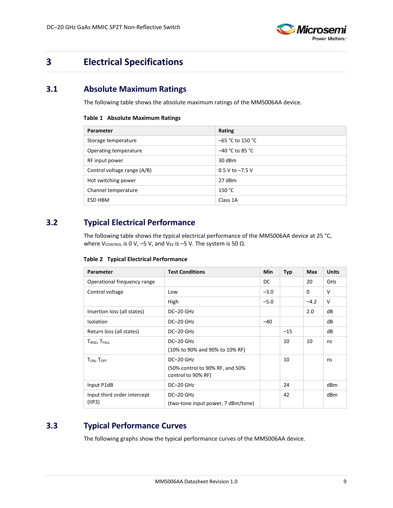

## <span id="page-8-0"></span>**3 Electrical Specifications**

## <span id="page-8-4"></span><span id="page-8-1"></span>**3.1 Absolute Maximum Ratings**

The following table shows the absolute maximum ratings of the MMS006AA device.

#### **Table 1 Absolute Maximum Ratings**

| Parameter                   | Rating              |
|-----------------------------|---------------------|
| Storage temperature         | $-65$ °C to 150 °C  |
| Operating temperature       | $-40$ °C to 85 °C   |
| RF input power              | 30 dBm              |
| Control voltage range (A/B) | $0.5 V$ to $-7.5 V$ |
| Hot switching power         | 27 dBm              |
| Channel temperature         | 150 °C              |
| ESD HBM                     | Class 1A            |

### <span id="page-8-5"></span><span id="page-8-2"></span>**3.2 Typical Electrical Performance**

The following table shows the typical electrical performance of the MMS006AA device at 25 °C, where VCONTROL is 0 V, –5 V, and V<sub>EE</sub> is –5 V. The system is 50 Ω.

|  |  |  | Table 2 Typical Electrical Performance |
|--|--|--|----------------------------------------|
|--|--|--|----------------------------------------|

| Parameter                   | <b>Test Conditions</b>             | <b>Min</b> | <b>Typ</b> | Max      | <b>Units</b> |
|-----------------------------|------------------------------------|------------|------------|----------|--------------|
| Operational frequency range |                                    | DC         |            | 20       | GHz          |
| Control voltage             | Low                                | $-3.0$     |            | $\Omega$ | v            |
|                             | High                               | $-5.0$     |            | $-4.2$   | $\vee$       |
| Insertion loss (all states) | DC-20 GHz                          |            |            | 2.0      | dB           |
| <b>Isolation</b>            | DC-20 GHz                          | $-40$      |            |          | dB           |
| Return loss (all states)    | $DC-20$ GHz                        |            | $-15$      |          | dB           |
| $T_{RISE}$ , $T_{FALL}$     | DC-20 GHz                          |            | 10         | 10       | ns           |
|                             | (10% to 90% and 90% to 10% RF)     |            |            |          |              |
| $T_{ON}$ , $T_{OFF}$        | $DC-20$ GHz                        |            | 10         |          | ns           |
|                             | (50% control to 90% RF, and 50%)   |            |            |          |              |
|                             | control to 90% RF)                 |            |            |          |              |
| Input P1dB                  | DC-20 GHz                          |            | 24         |          | dBm          |
| Input third order intercept | DC-20 GHz                          |            | 42         |          | dBm          |
| (IP3)                       | (two-tone input power, 7 dBm/tone) |            |            |          |              |

### <span id="page-8-3"></span>**3.3 Typical Performance Curves**

The following graphs show the typical performance curves of the MMS006AA device.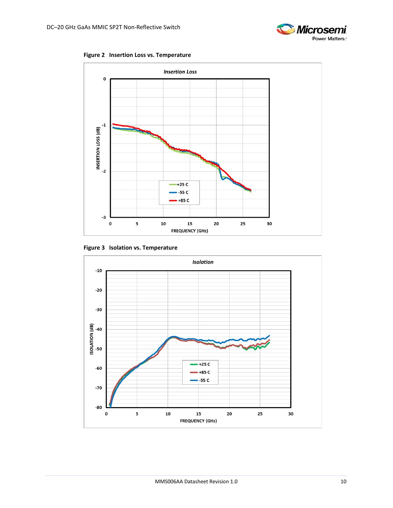

**Figure 2 Insertion Loss vs. Temperature**

<span id="page-9-0"></span>

**Figure 3 Isolation vs. Temperature**

<span id="page-9-1"></span>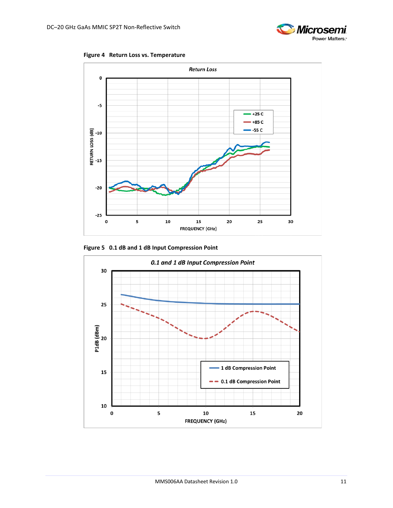<span id="page-10-0"></span>



<span id="page-10-1"></span>**Figure 5 0.1 dB and 1 dB Input Compression Point**



**Microsemi** 

Power Matters.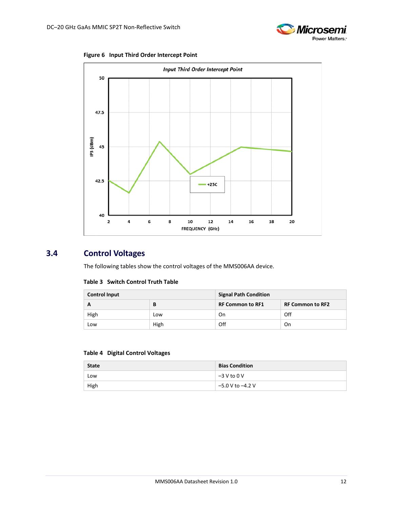

**Figure 6 Input Third Order Intercept Point**

<span id="page-11-1"></span>

### <span id="page-11-2"></span><span id="page-11-0"></span>**3.4 Control Voltages**

The following tables show the control voltages of the MMS006AA device.

#### **Table 3 Switch Control Truth Table**

| <b>Control Input</b> |      | <b>Signal Path Condition</b> |                         |  |
|----------------------|------|------------------------------|-------------------------|--|
| А                    | В    | <b>RF Common to RF1</b>      | <b>RF Common to RF2</b> |  |
| High                 | Low  | On                           | Off                     |  |
| Low                  | High | Off                          | On                      |  |

#### <span id="page-11-3"></span>**Table 4 Digital Control Voltages**

| <b>State</b> | <b>Bias Condition</b> |
|--------------|-----------------------|
| Low          | $-3$ V to 0 V         |
| High         | -5.0 V to -4.2 V      |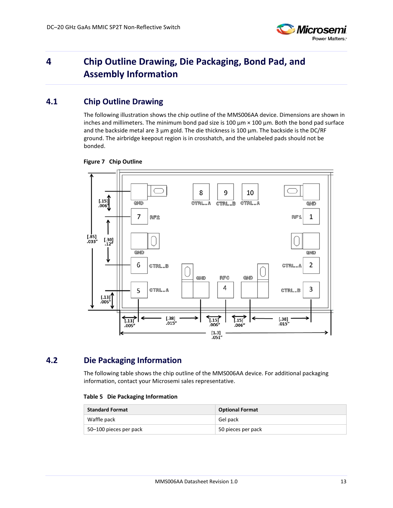

## <span id="page-12-0"></span>**4 Chip Outline Drawing, Die Packaging, Bond Pad, and Assembly Information**

### <span id="page-12-1"></span>**4.1 Chip Outline Drawing**

The following illustration shows the chip outline of the MMS006AA device. Dimensions are shown in inches and millimeters. The minimum bond pad size is  $100 \mu m \times 100 \mu m$ . Both the bond pad surface and the backside metal are 3 μm gold. The die thickness is 100 μm. The backside is the DC/RF ground. The airbridge keepout region is in crosshatch, and the unlabeled pads should not be bonded.



#### <span id="page-12-3"></span>**Figure 7 Chip Outline**

### <span id="page-12-4"></span><span id="page-12-2"></span>**4.2 Die Packaging Information**

The following table shows the chip outline of the MMS006AA device. For additional packaging information, contact your Microsemi sales representative.

#### **Table 5 Die Packaging Information**

| <b>Standard Format</b> | <b>Optional Format</b> |
|------------------------|------------------------|
| Waffle pack            | Gel pack               |
| 50–100 pieces per pack | 50 pieces per pack     |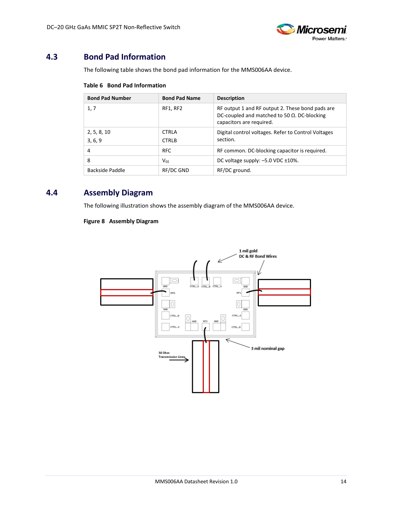

### <span id="page-13-3"></span><span id="page-13-0"></span>**4.3 Bond Pad Information**

The following table shows the bond pad information for the MMS006AA device.

**Table 6 Bond Pad Information**

| <b>Bond Pad Number</b> | <b>Bond Pad Name</b>         | <b>Description</b>                                                                                                                  |
|------------------------|------------------------------|-------------------------------------------------------------------------------------------------------------------------------------|
| 1, 7                   | RF1, RF2                     | RF output 1 and RF output 2. These bond pads are<br>DC-coupled and matched to 50 $\Omega$ . DC-blocking<br>capacitors are required. |
| 2, 5, 8, 10<br>3, 6, 9 | <b>CTRLA</b><br><b>CTRLB</b> | Digital control voltages. Refer to Control Voltages<br>section.                                                                     |
| 4                      | <b>RFC</b>                   | RF common. DC-blocking capacitor is required.                                                                                       |
| 8                      | $V_{FF}$                     | DC voltage supply: $-5.0$ VDC $\pm 10\%$ .                                                                                          |
| Backside Paddle        | RF/DC GND                    | RF/DC ground.                                                                                                                       |

### <span id="page-13-2"></span><span id="page-13-1"></span>**4.4 Assembly Diagram**

The following illustration shows the assembly diagram of the MMS006AA device.

#### **Figure 8 Assembly Diagram**

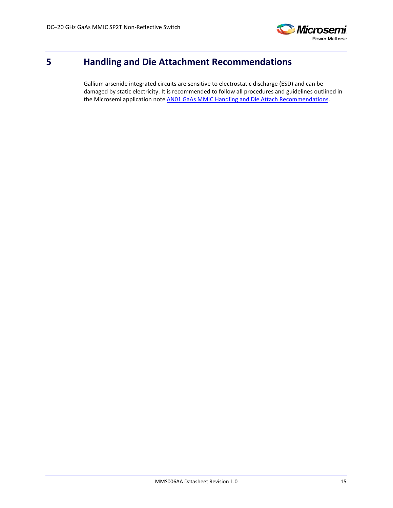

## <span id="page-14-0"></span>**5 Handling and Die Attachment Recommendations**

Gallium arsenide integrated circuits are sensitive to electrostatic discharge (ESD) and can be damaged by static electricity. It is recommended to follow all procedures and guidelines outlined in the Microsemi application note [AN01 GaAs MMIC Handling and Die Attach Recommendations.](http://www.microsemi.com/document-portal/doc_view/133886-mm-app-0001-die-handling-application-note)